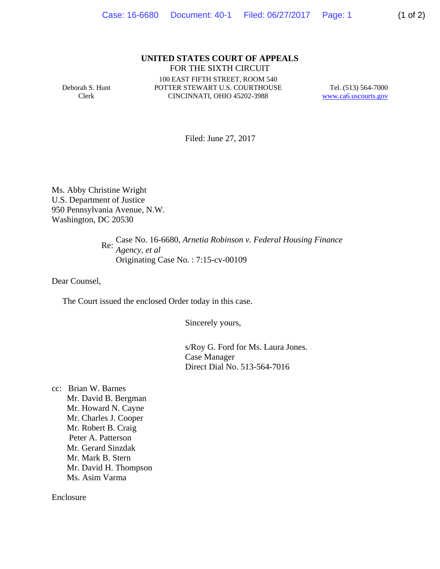## **UNITED STATES COURT OF APPEALS** FOR THE SIXTH CIRCUIT

Deborah S. Hunt Clerk

100 EAST FIFTH STREET, ROOM 540 POTTER STEWART U.S. COURTHOUSE CINCINNATI, OHIO 45202-3988

Tel. (513) 564-7000 www.ca6.uscourts.gov

Filed: June 27, 2017

Ms. Abby Christine Wright U.S. Department of Justice 950 Pennsylvania Avenue, N.W. Washington, DC 20530

 Re: Case No. 16-6680*, Arnetia Robinson v. Federal Housing Finance Agency, et al* Originating Case No. : 7:15-cv-00109

Dear Counsel,

The Court issued the enclosed Order today in this case.

Sincerely yours,

s/Roy G. Ford for Ms. Laura Jones. Case Manager Direct Dial No. 513-564-7016

cc: Brian W. Barnes Mr. David B. Bergman Mr. Howard N. Cayne Mr. Charles J. Cooper Mr. Robert B. Craig Peter A. Patterson Mr. Gerard Sinzdak Mr. Mark B. Stern Mr. David H. Thompson Ms. Asim Varma

Enclosure